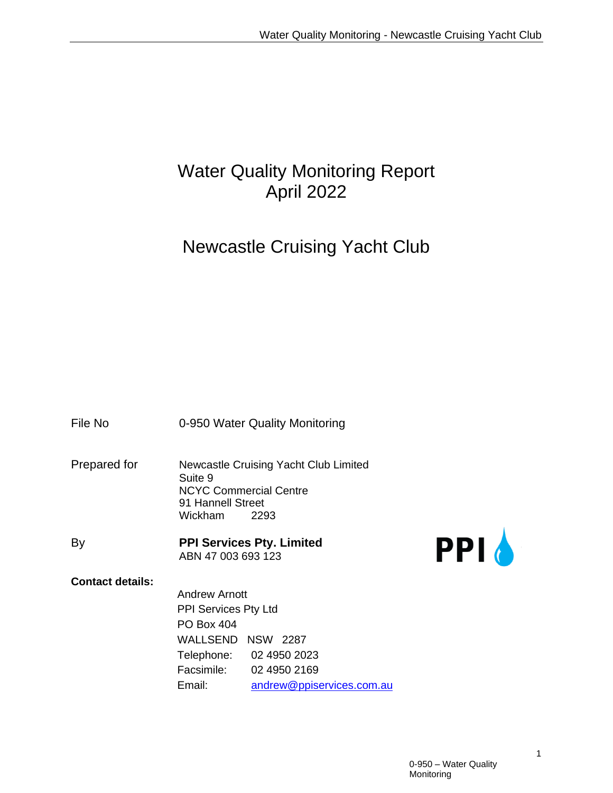# Water Quality Monitoring Report April 2022

# Newcastle Cruising Yacht Club

File No **0-950 Water Quality Monitoring** 

- Prepared for Newcastle Cruising Yacht Club Limited Suite 9 NCYC Commercial Centre 91 Hannell Street Wickham 2293
- By **PPI Services Pty. Limited** ABN 47 003 693 123



#### **Contact details:**

Andrew Arnott PPI Services Pty Ltd PO Box 404 WALLSEND NSW 2287 Telephone: 02 4950 2023 Facsimile: 02 4950 2169 Email: [andrew@ppiservices.com.au](mailto:andrew@ppiservices.com.au)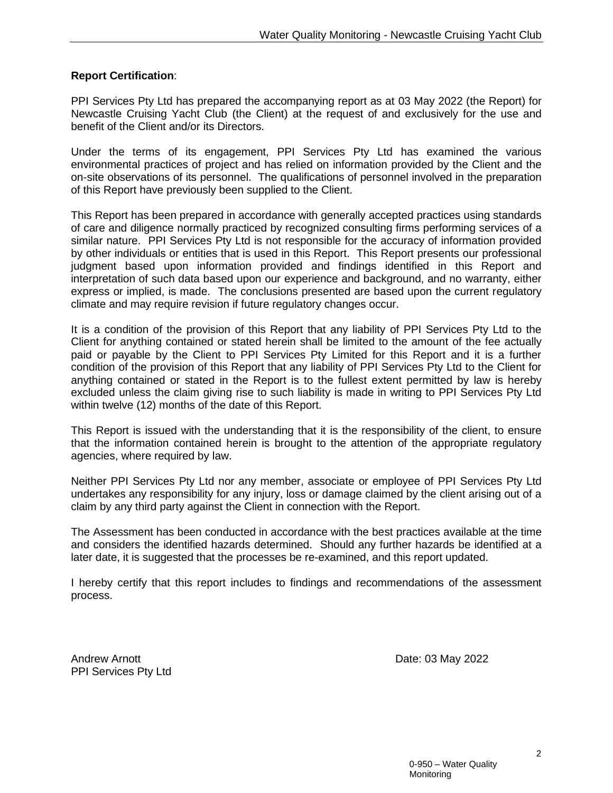#### **Report Certification**:

PPI Services Pty Ltd has prepared the accompanying report as at 03 May 2022 (the Report) for Newcastle Cruising Yacht Club (the Client) at the request of and exclusively for the use and benefit of the Client and/or its Directors.

Under the terms of its engagement, PPI Services Pty Ltd has examined the various environmental practices of project and has relied on information provided by the Client and the on-site observations of its personnel. The qualifications of personnel involved in the preparation of this Report have previously been supplied to the Client.

This Report has been prepared in accordance with generally accepted practices using standards of care and diligence normally practiced by recognized consulting firms performing services of a similar nature. PPI Services Pty Ltd is not responsible for the accuracy of information provided by other individuals or entities that is used in this Report. This Report presents our professional judgment based upon information provided and findings identified in this Report and interpretation of such data based upon our experience and background, and no warranty, either express or implied, is made. The conclusions presented are based upon the current regulatory climate and may require revision if future regulatory changes occur.

It is a condition of the provision of this Report that any liability of PPI Services Pty Ltd to the Client for anything contained or stated herein shall be limited to the amount of the fee actually paid or payable by the Client to PPI Services Pty Limited for this Report and it is a further condition of the provision of this Report that any liability of PPI Services Pty Ltd to the Client for anything contained or stated in the Report is to the fullest extent permitted by law is hereby excluded unless the claim giving rise to such liability is made in writing to PPI Services Pty Ltd within twelve (12) months of the date of this Report.

This Report is issued with the understanding that it is the responsibility of the client, to ensure that the information contained herein is brought to the attention of the appropriate regulatory agencies, where required by law.

Neither PPI Services Pty Ltd nor any member, associate or employee of PPI Services Pty Ltd undertakes any responsibility for any injury, loss or damage claimed by the client arising out of a claim by any third party against the Client in connection with the Report.

The Assessment has been conducted in accordance with the best practices available at the time and considers the identified hazards determined. Should any further hazards be identified at a later date, it is suggested that the processes be re-examined, and this report updated.

I hereby certify that this report includes to findings and recommendations of the assessment process.

Andrew Arnott **Date: 03 May 2022** PPI Services Pty Ltd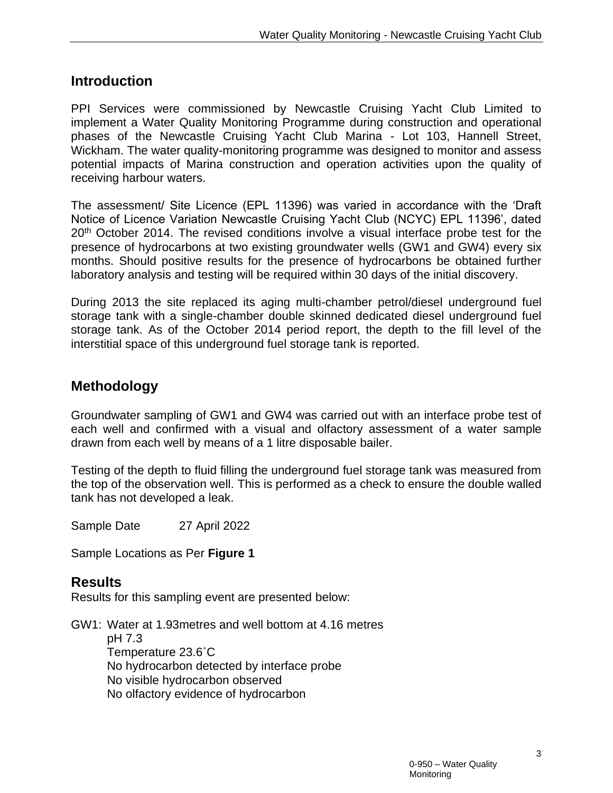### **Introduction**

PPI Services were commissioned by Newcastle Cruising Yacht Club Limited to implement a Water Quality Monitoring Programme during construction and operational phases of the Newcastle Cruising Yacht Club Marina - Lot 103, Hannell Street, Wickham. The water quality-monitoring programme was designed to monitor and assess potential impacts of Marina construction and operation activities upon the quality of receiving harbour waters.

The assessment/ Site Licence (EPL 11396) was varied in accordance with the 'Draft Notice of Licence Variation Newcastle Cruising Yacht Club (NCYC) EPL 11396', dated 20<sup>th</sup> October 2014. The revised conditions involve a visual interface probe test for the presence of hydrocarbons at two existing groundwater wells (GW1 and GW4) every six months. Should positive results for the presence of hydrocarbons be obtained further laboratory analysis and testing will be required within 30 days of the initial discovery.

During 2013 the site replaced its aging multi-chamber petrol/diesel underground fuel storage tank with a single-chamber double skinned dedicated diesel underground fuel storage tank. As of the October 2014 period report, the depth to the fill level of the interstitial space of this underground fuel storage tank is reported.

### **Methodology**

Groundwater sampling of GW1 and GW4 was carried out with an interface probe test of each well and confirmed with a visual and olfactory assessment of a water sample drawn from each well by means of a 1 litre disposable bailer.

Testing of the depth to fluid filling the underground fuel storage tank was measured from the top of the observation well. This is performed as a check to ensure the double walled tank has not developed a leak.

Sample Date 27 April 2022

Sample Locations as Per **Figure 1**

#### **Results**

Results for this sampling event are presented below:

GW1: Water at 1.93metres and well bottom at 4.16 metres pH 7.3 Temperature 23.6˚C No hydrocarbon detected by interface probe No visible hydrocarbon observed No olfactory evidence of hydrocarbon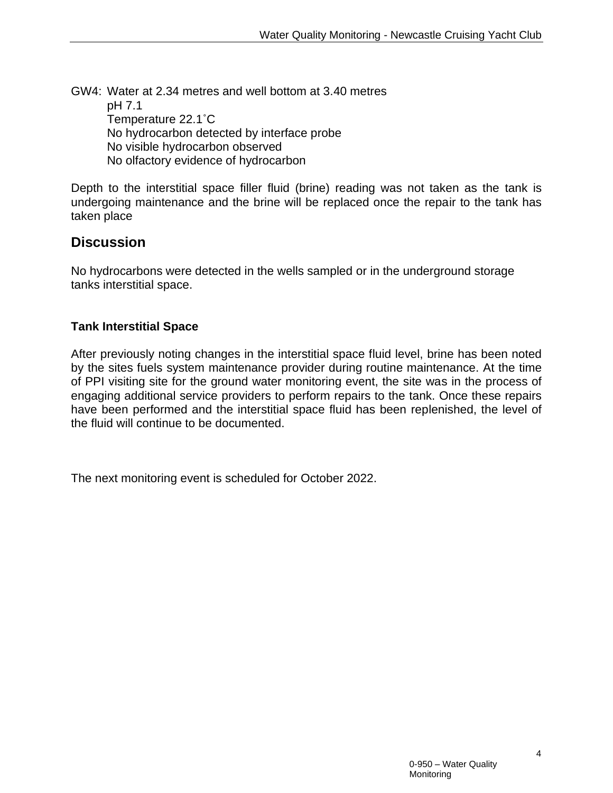GW4: Water at 2.34 metres and well bottom at 3.40 metres pH 7.1 Temperature 22.1˚C No hydrocarbon detected by interface probe No visible hydrocarbon observed No olfactory evidence of hydrocarbon

Depth to the interstitial space filler fluid (brine) reading was not taken as the tank is undergoing maintenance and the brine will be replaced once the repair to the tank has taken place

## **Discussion**

No hydrocarbons were detected in the wells sampled or in the underground storage tanks interstitial space.

#### **Tank Interstitial Space**

After previously noting changes in the interstitial space fluid level, brine has been noted by the sites fuels system maintenance provider during routine maintenance. At the time of PPI visiting site for the ground water monitoring event, the site was in the process of engaging additional service providers to perform repairs to the tank. Once these repairs have been performed and the interstitial space fluid has been replenished, the level of the fluid will continue to be documented.

The next monitoring event is scheduled for October 2022.